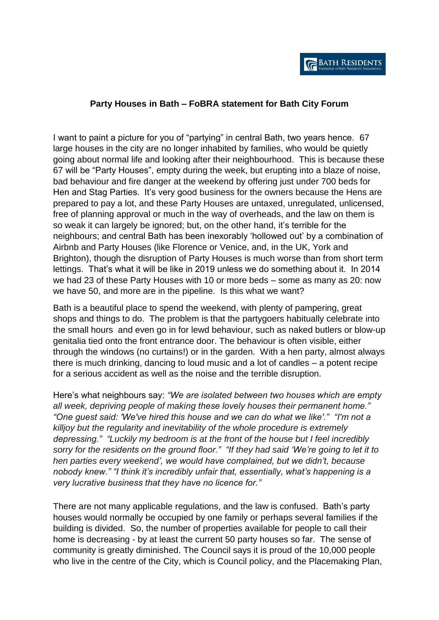## **Party Houses in Bath – FoBRA statement for Bath City Forum**

I want to paint a picture for you of "partying" in central Bath, two years hence. 67 large houses in the city are no longer inhabited by families, who would be quietly going about normal life and looking after their neighbourhood. This is because these 67 will be "Party Houses", empty during the week, but erupting into a blaze of noise, bad behaviour and fire danger at the weekend by offering just under 700 beds for Hen and Stag Parties. It's very good business for the owners because the Hens are prepared to pay a lot, and these Party Houses are untaxed, unregulated, unlicensed, free of planning approval or much in the way of overheads, and the law on them is so weak it can largely be ignored; but, on the other hand, it's terrible for the neighbours; and central Bath has been inexorably 'hollowed out' by a combination of Airbnb and Party Houses (like Florence or Venice, and, in the UK, York and Brighton), though the disruption of Party Houses is much worse than from short term lettings. That's what it will be like in 2019 unless we do something about it. In 2014 we had 23 of these Party Houses with 10 or more beds – some as many as 20: now we have 50, and more are in the pipeline. Is this what we want?

Bath is a beautiful place to spend the weekend, with plenty of pampering, great shops and things to do. The problem is that the partygoers habitually celebrate into the small hours and even go in for lewd behaviour, such as naked butlers or blow-up genitalia tied onto the front entrance door. The behaviour is often visible, either through the windows (no curtains!) or in the garden. With a hen party, almost always there is much drinking, dancing to loud music and a lot of candles – a potent recipe for a serious accident as well as the noise and the terrible disruption.

Here's what neighbours say: *"We are isolated between two houses which are empty all week, depriving people of making these lovely houses their permanent home." "One guest said: 'We've hired this house and we can do what we like'." "I'm not a killjoy but the regularity and inevitability of the whole procedure is extremely depressing." "Luckily my bedroom is at the front of the house but I feel incredibly sorry for the residents on the ground floor." "If they had said 'We're going to let it to hen parties every weekend', we would have complained, but we didn't, because nobody knew." "I think it's incredibly unfair that, essentially, what's happening is a very lucrative business that they have no licence for."*

There are not many applicable regulations, and the law is confused. Bath's party houses would normally be occupied by one family or perhaps several families if the building is divided. So, the number of properties available for people to call their home is decreasing - by at least the current 50 party houses so far. The sense of community is greatly diminished. The Council says it is proud of the 10,000 people who live in the centre of the City, which is Council policy, and the Placemaking Plan,